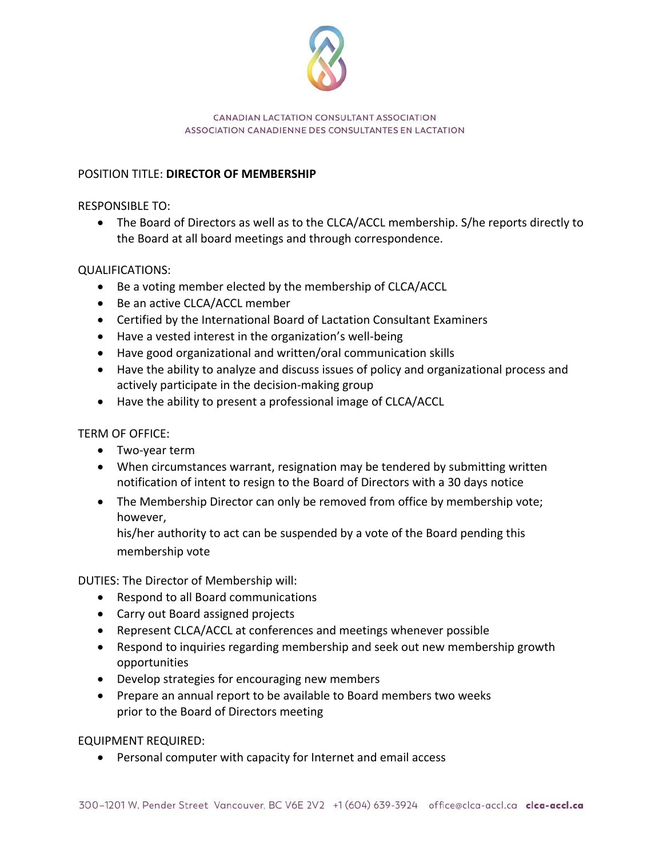

## CANADIAN LACTATION CONSULTANT ASSOCIATION ASSOCIATION CANADIENNE DES CONSULTANTES EN LACTATION

## POSITION TITLE: **DIRECTOR OF MEMBERSHIP**

RESPONSIBLE TO:

• The Board of Directors as well as to the CLCA/ACCL membership. S/he reports directly to the Board at all board meetings and through correspondence.

## QUALIFICATIONS:

- Be a voting member elected by the membership of CLCA/ACCL
- Be an active CLCA/ACCL member
- Certified by the International Board of Lactation Consultant Examiners
- Have a vested interest in the organization's well-being
- Have good organizational and written/oral communication skills
- Have the ability to analyze and discuss issues of policy and organizational process and actively participate in the decision-making group
- Have the ability to present a professional image of CLCA/ACCL

TERM OF OFFICE:

- Two-year term
- When circumstances warrant, resignation may be tendered by submitting written notification of intent to resign to the Board of Directors with a 30 days notice
- The Membership Director can only be removed from office by membership vote; however,

his/her authority to act can be suspended by a vote of the Board pending this membership vote

DUTIES: The Director of Membership will:

- Respond to all Board communications
- Carry out Board assigned projects
- Represent CLCA/ACCL at conferences and meetings whenever possible
- Respond to inquiries regarding membership and seek out new membership growth opportunities
- Develop strategies for encouraging new members
- Prepare an annual report to be available to Board members two weeks prior to the Board of Directors meeting

EQUIPMENT REQUIRED:

• Personal computer with capacity for Internet and email access